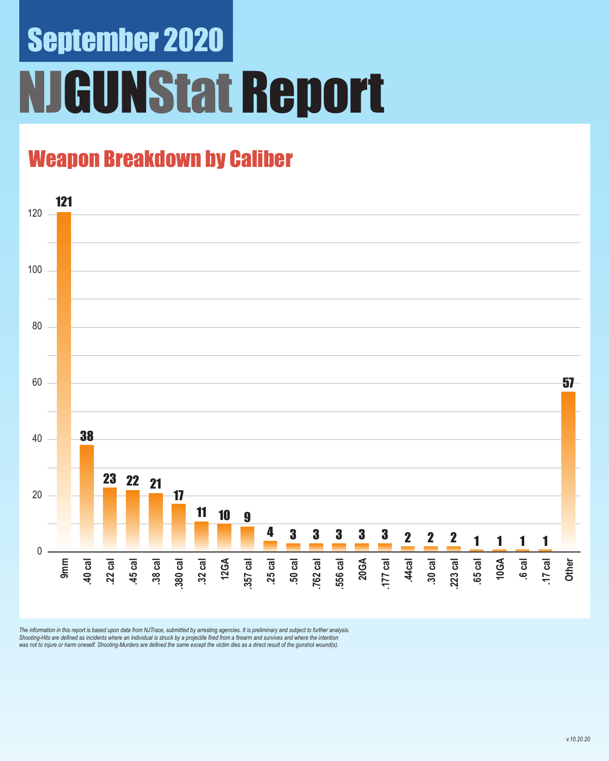# September 2020 **GUNStat Report**

### Weapon Breakdown by Caliber



The information in this report is based upon data from NJTrace, submitted by arresting agencies. It is preliminary and subject to further analysis.<br>Shooting-Hits are defined as incidents where an individual is struck by a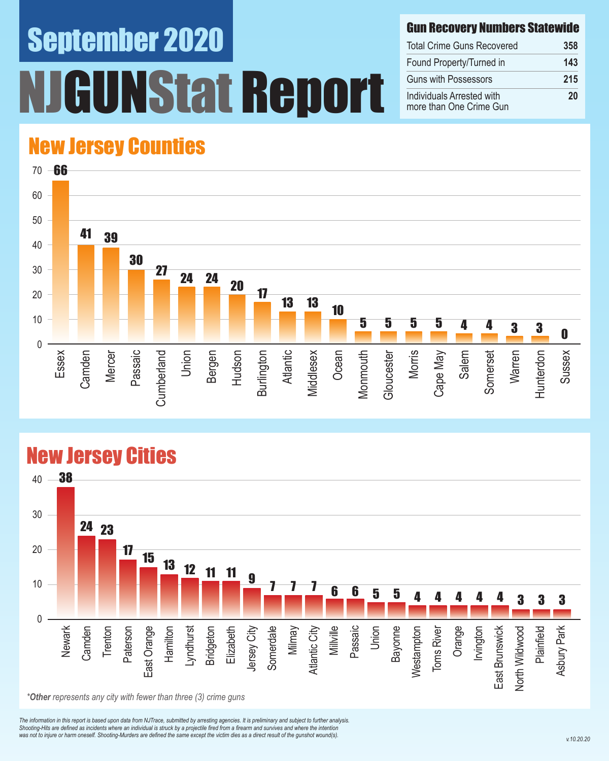# September 2020 UNStat Report

#### Gun Recovery Numbers Statewide

| <b>Total Crime Guns Recovered</b>                    | 358 |
|------------------------------------------------------|-----|
| Found Property/Turned in                             | 143 |
| <b>Guns with Possessors</b>                          | 215 |
| Individuals Arrested with<br>more than One Crime Gun | 20  |

#### New Jersey Counties



#### New Jersey Cities



*The information in this report is based upon data from NJTrace, submitted by arresting agencies. It is preliminary and subject to further analysis. Shooting-Hits are defined as incidents where an individual is struck by a projectile fired from a firearm and survives and where the intention*  was not to injure or harm oneself. Shooting-Murders are defined the same except the victim dies as a direct result of the gunshot wound(s).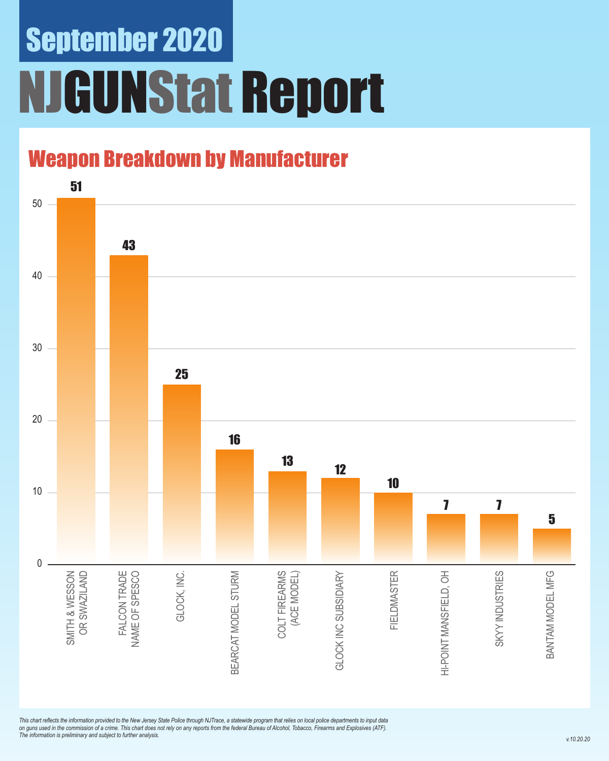### September 2020 NJGUNStat Report

### Weapon Breakdown by Manufacturer



*This chart reflects the information provided to the New Jersey State Police through NJTrace, a statewide program that relies on local police departments to input data on guns used in the commission of a crime. This chart does not rely on any reports from the federal Bureau of Alcohol, Tobacco, Firearms and Explosives (ATF). The information is preliminary and subject to further analysis.*